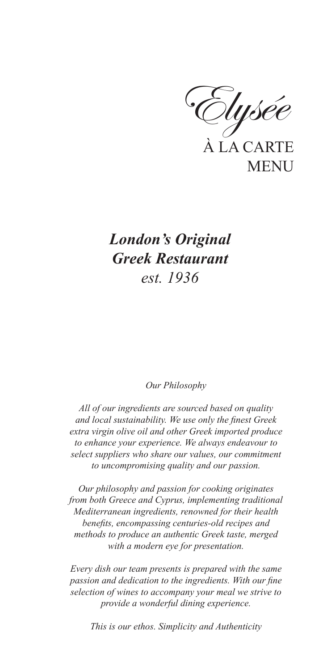À LA CARTE **MENU** Elysée

# *London's Original Greek Restaurant est. 1936*

#### *Our Philosophy*

*All of our ingredients are sourced based on quality and local sustainability. We use only the finest Greek extra virgin olive oil and other Greek imported produce to enhance your experience. We always endeavour to select suppliers who share our values, our commitment to uncompromising quality and our passion.*

*Our philosophy and passion for cooking originates from both Greece and Cyprus, implementing traditional Mediterranean ingredients, renowned for their health benefits, encompassing centuries-old recipes and methods to produce an authentic Greek taste, merged with a modern eye for presentation.*

*Every dish our team presents is prepared with the same passion and dedication to the ingredients. With our fine selection of wines to accompany your meal we strive to provide a wonderful dining experience.*

*This is our ethos. Simplicity and Authenticity*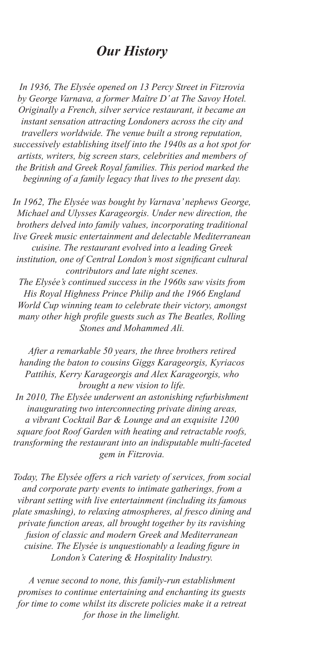# *Our History*

*In 1936, The Elysée opened on 13 Percy Street in Fitzrovia by George Varnava, a former Maître D' at The Savoy Hotel. Originally a French, silver service restaurant, it became an instant sensation attracting Londoners across the city and travellers worldwide. The venue built a strong reputation, successively establishing itself into the 1940s as a hot spot for artists, writers, big screen stars, celebrities and members of the British and Greek Royal families. This period marked the beginning of a family legacy that lives to the present day.*

*In 1962, The Elysée was bought by Varnava' nephews George, Michael and Ulysses Karageorgis. Under new direction, the brothers delved into family values, incorporating traditional live Greek music entertainment and delectable Mediterranean cuisine. The restaurant evolved into a leading Greek institution, one of Central London's most significant cultural contributors and late night scenes.*

*The Elysée's continued success in the 1960s saw visits from His Royal Highness Prince Philip and the 1966 England World Cup winning team to celebrate their victory, amongst many other high profile guests such as The Beatles, Rolling Stones and Mohammed Ali.*

*After a remarkable 50 years, the three brothers retired handing the baton to cousins Giggs Karageorgis, Kyriacos Pattihis, Kerry Karageorgis and Alex Karageorgis, who brought a new vision to life.*

*In 2010, The Elysée underwent an astonishing refurbishment inaugurating two interconnecting private dining areas, a vibrant Cocktail Bar & Lounge and an exquisite 1200 square foot Roof Garden with heating and retractable roofs, transforming the restaurant into an indisputable multi-faceted gem in Fitzrovia.*

*Today, The Elysée offers a rich variety of services, from social and corporate party events to intimate gatherings, from a vibrant setting with live entertainment (including its famous plate smashing), to relaxing atmospheres, al fresco dining and private function areas, all brought together by its ravishing fusion of classic and modern Greek and Mediterranean cuisine. The Elysée is unquestionably a leading figure in London's Catering & Hospitality Industry.*

*A venue second to none, this family-run establishment promises to continue entertaining and enchanting its guests for time to come whilst its discrete policies make it a retreat for those in the limelight.*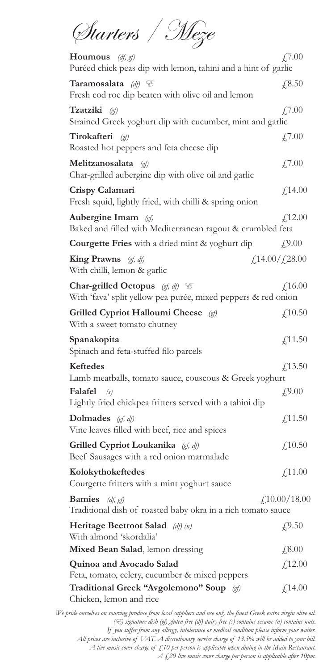Starters / Meze

| <b>Houmous</b> ( <i>df, gf)</i><br>Puréed chick peas dip with lemon, tahini and a hint of garlic              | £,7.00                                     |
|---------------------------------------------------------------------------------------------------------------|--------------------------------------------|
| Taramosalata (df) $\mathcal C$<br>Fresh cod roe dip beaten with olive oil and lemon                           | £,8.50                                     |
| Tzatziki (gf)<br>Strained Greek yoghurt dip with cucumber, mint and garlic                                    | £7.00                                      |
| Tirokafteri<br>(of)<br>Roasted hot peppers and feta cheese dip                                                | £7.00                                      |
| Melitzanosalata<br>$\left( \text{gf}\right)$<br>Char-grilled aubergine dip with olive oil and garlic          | £7.00                                      |
| Crispy Calamari<br>Fresh squid, lightly fried, with chilli & spring onion                                     | f,14.00                                    |
| Aubergine Imam $\mathcal{A}$<br>Baked and filled with Mediterranean ragout & crumbled feta                    | f,12.00                                    |
| <b>Courgette Fries</b> with a dried mint & yoghurt dip                                                        | f9.00                                      |
| <b>King Prawns</b> $(gf, df)$<br>With chilli, lemon & garlic                                                  | $\frac{1}{4}$ ,14.00/ $\frac{1}{4}$ ,28.00 |
| Char-grilled Octopus $(gf, df)$ $\mathcal C$<br>With 'fava' split yellow pea purée, mixed peppers & red onion | f,16.00                                    |
| <b>Grilled Cypriot Halloumi Cheese</b><br>(of)<br>With a sweet tomato chutney                                 | f(10.50)                                   |
| Spanakopita<br>Spinach and feta-stuffed filo parcels                                                          | f(11.50)                                   |
| <b>Keftedes</b><br>Lamb meatballs, tomato sauce, couscous & Greek yoghurt                                     | f(13.50)                                   |
| Falafel<br>(s)<br>Lightly fried chickpea fritters served with a tahini dip                                    | f(9.00)                                    |
| Dolmades $(gf, df)$<br>Vine leaves filled with beef, rice and spices                                          | £11.50                                     |
| Grilled Cypriot Loukanika (gf, df)<br>Beef Sausages with a red onion marmalade                                | f(10.50)                                   |
| Kolokythokeftedes<br>Courgette fritters with a mint yoghurt sauce                                             | £,11.00                                    |
| <b>Bamies</b><br>(df, gf)<br>Traditional dish of roasted baby okra in a rich tomato sauce                     | $\textit{\textsterling}10.00/18.00$        |
| <b>Heritage Beetroot Salad</b> (df) (n)<br>With almond 'skordalia'                                            | £9.50                                      |
| Mixed Bean Salad, lemon dressing                                                                              | £,8.00                                     |
| Quinoa and Avocado Salad<br>Feta, tomato, celery, cucumber & mixed peppers                                    | f(12.00)                                   |
| Traditional Greek "Avgolemono" Soup (gf)<br>Chicken, lemon and rice                                           | f(14.00)                                   |

*We pride ourselves on sourcing produce from local suppliers and use only the finest Greek extra virgin olive oil. (*E*) signature dish (gf) gluten free (df) dairy free (s) contains sesame (n) contains nuts. If you suffer from any allergy, intolerance or medical condition please inform your waiter. All prices are inclusive of VAT. A discretionary service charge of 13.5% will be added to your bill. A live music cover charge of £10 per person is applicable when dining in the Main Restaurant. A £20 live music cover charge per person is applicable after 10pm.*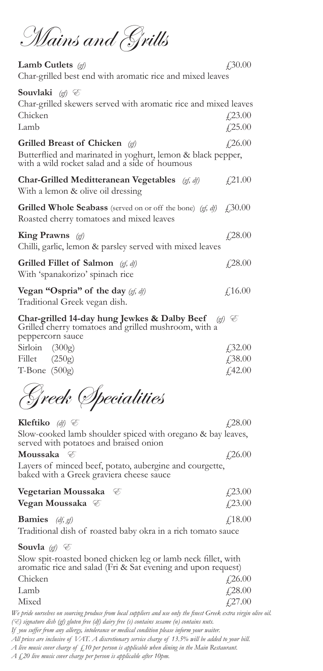Mains and Grills

| Lamb Cutlets (gf)<br>Char-grilled best end with aromatic rice and mixed leaves                                                                         | £,30.00                          |
|--------------------------------------------------------------------------------------------------------------------------------------------------------|----------------------------------|
| Souvlaki $\mathcal{A}$ $\mathcal{C}$<br>Char-grilled skewers served with aromatic rice and mixed leaves<br>Chicken<br>Lamb                             | $\angle 23.00$                   |
| <b>Grilled Breast of Chicken</b> (gf)<br>Butterflied and marinated in yoghurt, lemon & black pepper,<br>with a wild rocket salad and a side of houmous | £,25.00<br>£26.00                |
| <b>Char-Grilled Meditteranean Vegetables</b> $(gf, df)$<br>With a lemon & olive oil dressing                                                           | £21.00                           |
| <b>Grilled Whole Seabass</b> (served on or off the bone) (gf, df)<br>Roasted cherry tomatoes and mixed leaves                                          | $\angle 30.00$                   |
| King Prawns $(p)$<br>Chilli, garlic, lemon & parsley served with mixed leaves                                                                          | $f$ ,28.00                       |
| Grilled Fillet of Salmon $(gf, df)$<br>With 'spanakorizo' spinach rice                                                                                 | £28.00                           |
| Vegan "Ospria" of the day $(gf, df)$<br>Traditional Greek vegan dish.                                                                                  | f16.00                           |
| Char-grilled 14-day hung Jewkes & Dalby Beef<br>Grilled cherry tomatoes and grilled mushroom, with a<br>peppercorn sauce                               | (gf) E                           |
| Sirloin $(300g)$<br>Fillet $(250g)$                                                                                                                    | $\angle 32.00$<br>$\sqrt{38.00}$ |

T-Bone  $(500g)$   $(42.00$ 

Greek Specialities

**Kleftiko** *(df)*  $\mathcal{E}$   $(28.00)$ Slow-cooked lamb shoulder spiced with oregano & bay leaves, served with potatoes and braised onion

#### **Moussaka**  $\mathscr{E}$   $f$  26.00

Layers of minced beef, potato, aubergine and courgette, baked with a Greek graviera cheese sauce

| Vegetarian Moussaka $\mathcal E$ | $\angle 23.00$ |
|----------------------------------|----------------|
| Vegan Moussaka $\mathcal C$      | $\angle 23.00$ |
| <b>Bamies</b> ( <i>df, gf)</i>   | $\angle 18.00$ |

Traditional dish of roasted baby okra in a rich tomato sauce

**Souvla**  $(g)$   $\mathcal{E}$ 

Slow spit-roasted boned chicken leg or lamb neck fillet, with aromatic rice and salad (Fri & Sat evening and upon request)  $\angle$ Chicken  $\angle$ 26.00 Lamb  $\angle 28.00$ 

| ------- | $\overline{1}$ . $\overline{2}$ . $\overline{2}$ . $\overline{2}$ |
|---------|-------------------------------------------------------------------|
| Mixed   | $\sqrt{27.00}$                                                    |

*We pride ourselves on sourcing produce from local suppliers and use only the finest Greek extra virgin olive oil. (*E*) signature dish (gf) gluten free (df) dairy free (s) contains sesame (n) contains nuts. If you suffer from any allergy, intolerance or medical condition please inform your waiter.* 

*All prices are inclusive of VAT. A discretionary service charge of 13.5% will be added to your bill.* 

*A live music cover charge of £10 per person is applicable when dining in the Main Restaurant.*

*A £20 live music cover charge per person is applicable after 10pm.*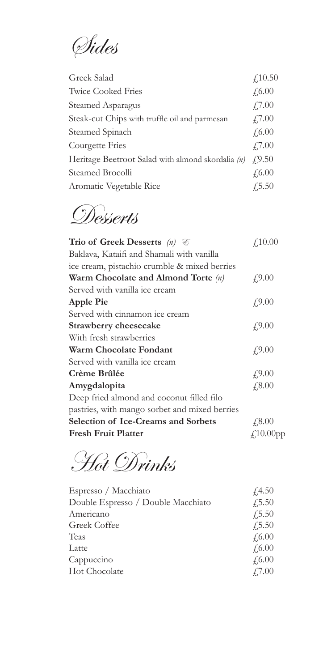Sides

| Greek Salad                                       | f(10.50)      |
|---------------------------------------------------|---------------|
| <b>Twice Cooked Fries</b>                         | $f_{0.00}$    |
| Steamed Asparagus                                 | $\angle 7.00$ |
| Steak-cut Chips with truffle oil and parmesan     | $\angle 7.00$ |
| Steamed Spinach                                   | f(6.00)       |
| Courgette Fries                                   | $\angle 7.00$ |
| Heritage Beetroot Salad with almond skordalia (n) | (9.50)        |
| Steamed Brocolli                                  | $\sqrt{6.00}$ |
| Aromatic Vegetable Rice                           | $\sqrt{5.50}$ |

Desserts

| Trio of Greek Desserts $(n)$ $\mathcal C$     | f10.00          |
|-----------------------------------------------|-----------------|
| Baklava, Kataifi and Shamali with vanilla     |                 |
| ice cream, pistachio crumble & mixed berries  |                 |
| Warm Chocolate and Almond Torte (n)           | f9.00           |
| Served with vanilla ice cream                 |                 |
| <b>Apple Pie</b>                              | f9.00           |
| Served with cinnamon ice cream                |                 |
| <b>Strawberry cheesecake</b>                  | f9.00           |
| With fresh strawberries                       |                 |
| Warm Chocolate Fondant                        | f9.00           |
| Served with vanilla ice cream                 |                 |
| Crème Brûlée                                  | f(9.00)         |
| Amygdalopita                                  | $f$ ,8.00       |
| Deep fried almond and coconut filled filo     |                 |
| pastries, with mango sorbet and mixed berries |                 |
| <b>Selection of Ice-Creams and Sorbets</b>    | £8.00           |
| <b>Fresh Fruit Platter</b>                    | $f_{.}10.00$ pp |

Hot Drinks

| Espresso / Macchiato               | f4.50         |
|------------------------------------|---------------|
| Double Espresso / Double Macchiato | $\sqrt{5.50}$ |
| Americano                          | $\sqrt{5.50}$ |
| Greek Coffee                       | $\sqrt{5.50}$ |
| Teas                               | £,6.00        |
| Latte                              | £,6.00        |
| Cappuccino                         | £,6.00        |
| <b>Hot Chocolate</b>               | $\angle 7.00$ |
|                                    |               |